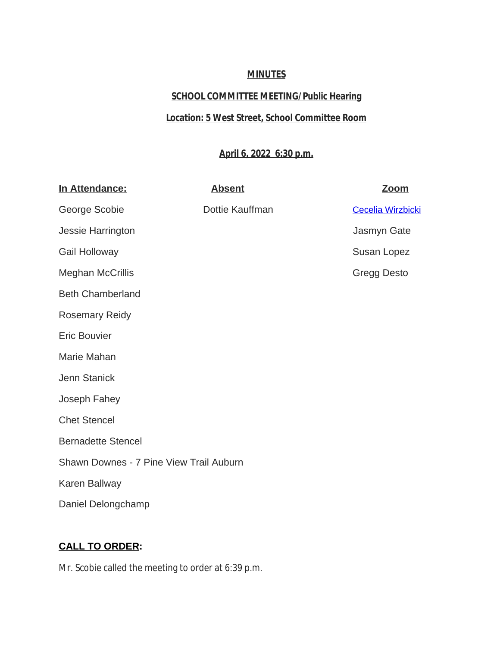## **MINUTES**

# **SCHOOL COMMITTEE MEETING/Public Hearing**

## **Location: 5 West Street, School Committee Room**

# **April 6, 2022 6:30 p.m.**

| In Attendance:                          | <b>Absent</b>   | <u>Zoom</u>              |
|-----------------------------------------|-----------------|--------------------------|
| George Scobie                           | Dottie Kauffman | <b>Cecelia Wirzbicki</b> |
| Jessie Harrington                       |                 | Jasmyn Gate              |
| <b>Gail Holloway</b>                    |                 | Susan Lopez              |
| <b>Meghan McCrillis</b>                 |                 | <b>Gregg Desto</b>       |
| <b>Beth Chamberland</b>                 |                 |                          |
| <b>Rosemary Reidy</b>                   |                 |                          |
| <b>Eric Bouvier</b>                     |                 |                          |
| Marie Mahan                             |                 |                          |
| Jenn Stanick                            |                 |                          |
| Joseph Fahey                            |                 |                          |
| <b>Chet Stencel</b>                     |                 |                          |
| <b>Bernadette Stencel</b>               |                 |                          |
| Shawn Downes - 7 Pine View Trail Auburn |                 |                          |
| Karen Ballway                           |                 |                          |
| Daniel Delongchamp                      |                 |                          |

# **[CALL TO ORDER:](mailto:cwirzbicki@auburn.k12.ma.us)**

[Mr. Scobie called the meeting to order at 6:39 p.m.](mailto:cwirzbicki@auburn.k12.ma.us)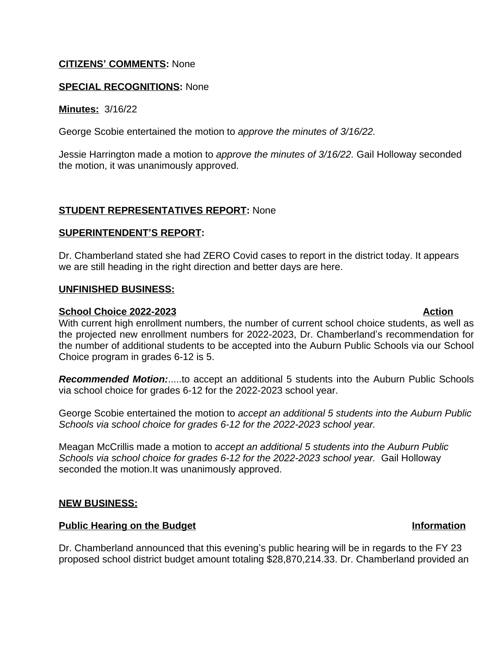## **CITIZENS' COMMENTS:** None

## **SPECIAL RECOGNITIONS:** None

**Minutes:** 3/16/22

George Scobie entertained the motion to *approve the minutes of 3/16/22.*

Jessie Harrington made a motion to *approve the minutes of 3/16/22.* Gail Holloway seconded the motion, it was unanimously approved.

## **STUDENT REPRESENTATIVES REPORT:** None

### **SUPERINTENDENT'S REPORT:**

Dr. Chamberland stated she had ZERO Covid cases to report in the district today. It appears we are still heading in the right direction and better days are here.

### **UNFINISHED BUSINESS:**

### **School Choice 2022-2023 Action**

With current high enrollment numbers, the number of current school choice students, as well as the projected new enrollment numbers for 2022-2023, Dr. Chamberland's recommendation for the number of additional students to be accepted into the Auburn Public Schools via our School Choice program in grades 6-12 is 5.

*Recommended Motion:*.....to accept an additional 5 students into the Auburn Public Schools via school choice for grades 6-12 for the 2022-2023 school year.

George Scobie entertained the motion to *accept an additional 5 students into the Auburn Public Schools via school choice for grades 6-12 for the 2022-2023 school year.* 

Meagan McCrillis made a motion to *accept an additional 5 students into the Auburn Public Schools via school choice for grades 6-12 for the 2022-2023 school year.* Gail Holloway seconded the motion.It was unanimously approved.

### **NEW BUSINESS:**

### **Public Hearing on the Budget Information**

Dr. Chamberland announced that this evening's public hearing will be in regards to the FY 23 proposed school district budget amount totaling \$28,870,214.33. Dr. Chamberland provided an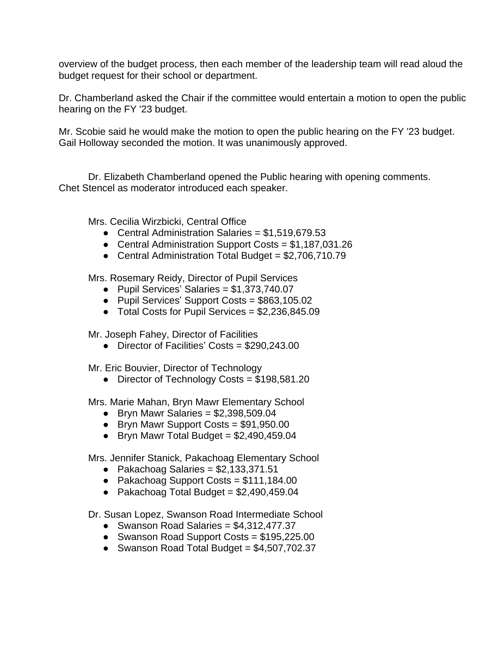overview of the budget process, then each member of the leadership team will read aloud the budget request for their school or department.

Dr. Chamberland asked the Chair if the committee would entertain a motion to open the public hearing on the FY '23 budget.

Mr. Scobie said he would make the motion to open the public hearing on the FY '23 budget. Gail Holloway seconded the motion. It was unanimously approved.

Dr. Elizabeth Chamberland opened the Public hearing with opening comments. Chet Stencel as moderator introduced each speaker.

Mrs. Cecilia Wirzbicki, Central Office

- Central Administration Salaries =  $$1,519,679.53$
- Central Administration Support Costs = \$1,187,031.26
- Central Administration Total Budget = \$2,706,710.79

Mrs. Rosemary Reidy, Director of Pupil Services

- Pupil Services' Salaries = \$1,373,740.07
- Pupil Services' Support Costs = \$863,105.02
- $\bullet$  Total Costs for Pupil Services = \$2,236,845.09

Mr. Joseph Fahey, Director of Facilities

● Director of Facilities' Costs = \$290,243.00

Mr. Eric Bouvier, Director of Technology

● Director of Technology Costs = \$198,581.20

Mrs. Marie Mahan, Bryn Mawr Elementary School

- $\bullet$  Bryn Mawr Salaries = \$2,398,509.04
- Bryn Mawr Support Costs = \$91,950.00
- $\bullet$  Bryn Mawr Total Budget = \$2,490,459.04

Mrs. Jennifer Stanick, Pakachoag Elementary School

- $\bullet$  Pakachoag Salaries = \$2,133,371.51
- Pakachoag Support Costs = \$111,184.00
- Pakachoag Total Budget =  $$2,490,459.04$
- Dr. Susan Lopez, Swanson Road Intermediate School
	- Swanson Road Salaries = \$4,312,477.37
	- Swanson Road Support Costs = \$195,225.00
	- Swanson Road Total Budget = \$4,507,702.37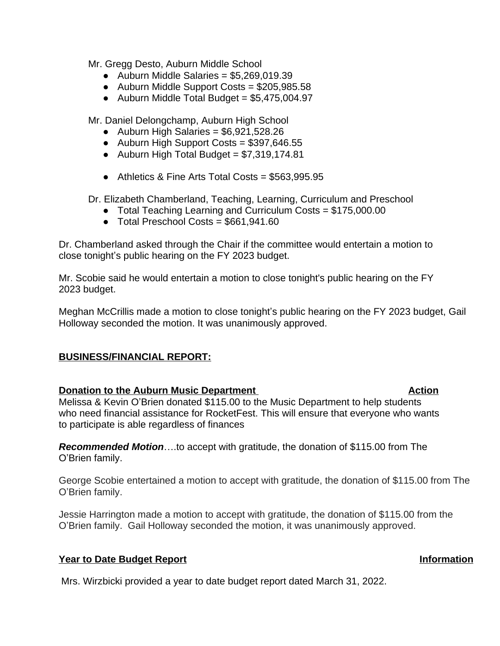Mr. Gregg Desto, Auburn Middle School

- $\bullet$  Auburn Middle Salaries = \$5,269,019,39
- Auburn Middle Support Costs = \$205,985.58
- Auburn Middle Total Budget =  $$5,475,004.97$

Mr. Daniel Delongchamp, Auburn High School

- $\bullet$  Auburn High Salaries = \$6,921,528.26
- Auburn High Support Costs = \$397,646.55
- Auburn High Total Budget =  $$7,319,174.81$
- Athletics & Fine Arts Total Costs = \$563,995.95

Dr. Elizabeth Chamberland, Teaching, Learning, Curriculum and Preschool

- Total Teaching Learning and Curriculum Costs = \$175,000.00
- Total Preschool Costs = \$661,941.60

Dr. Chamberland asked through the Chair if the committee would entertain a motion to close tonight's public hearing on the FY 2023 budget.

Mr. Scobie said he would entertain a motion to close tonight's public hearing on the FY 2023 budget.

Meghan McCrillis made a motion to close tonight's public hearing on the FY 2023 budget, Gail Holloway seconded the motion. It was unanimously approved.

## **BUSINESS/FINANCIAL REPORT:**

## **Donation to the Auburn Music Department Action Action**

Melissa & Kevin O'Brien donated \$115.00 to the Music Department to help students who need financial assistance for RocketFest. This will ensure that everyone who wants to participate is able regardless of finances

*Recommended Motion*….to accept with gratitude, the donation of \$115.00 from The O'Brien family.

George Scobie entertained a motion to accept with gratitude, the donation of \$115.00 from The O'Brien family.

Jessie Harrington made a motion to accept with gratitude, the donation of \$115.00 from the O'Brien family. Gail Holloway seconded the motion, it was unanimously approved.

## **Year to Date Budget Report Information**

Mrs. Wirzbicki provided a year to date budget report dated March 31, 2022.